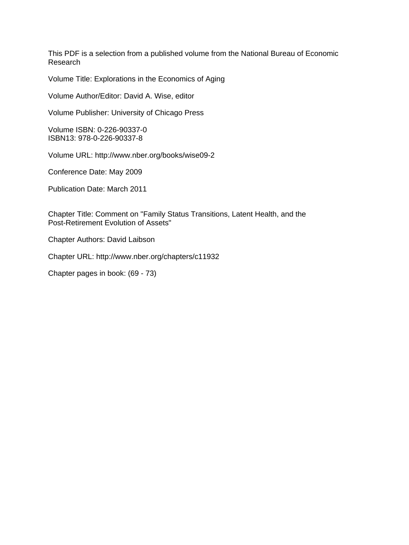This PDF is a selection from a published volume from the National Bureau of Economic Research

Volume Title: Explorations in the Economics of Aging

Volume Author/Editor: David A. Wise, editor

Volume Publisher: University of Chicago Press

Volume ISBN: 0-226-90337-0 ISBN13: 978-0-226-90337-8

Volume URL: http://www.nber.org/books/wise09-2

Conference Date: May 2009

Publication Date: March 2011

Chapter Title: Comment on "Family Status Transitions, Latent Health, and the Post-Retirement Evolution of Assets"

Chapter Authors: David Laibson

Chapter URL: http://www.nber.org/chapters/c11932

Chapter pages in book: (69 - 73)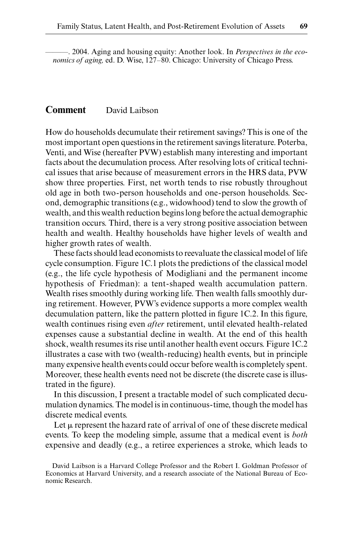———. 2004. Aging and housing equity: Another look. In *Perspectives in the economics of aging,* ed. D. Wise, 127–80. Chicago: University of Chicago Press.

## **Comment** David Laibson

How do households decumulate their retirement savings? This is one of the most important open questions in the retirement savings literature. Poterba, Venti, and Wise (hereafter PVW) establish many interesting and important facts about the decumulation process. After resolving lots of critical technical issues that arise because of measurement errors in the HRS data, PVW show three properties. First, net worth tends to rise robustly throughout old age in both two- person households and one- person households. Second, demographic transitions (e.g., widowhood) tend to slow the growth of wealth, and this wealth reduction begins long before the actual demographic transition occurs. Third, there is a very strong positive association between health and wealth. Healthy households have higher levels of wealth and higher growth rates of wealth.

These facts should lead economists to reevaluate the classical model of life cycle consumption. Figure 1C.1 plots the predictions of the classical model (e.g., the life cycle hypothesis of Modigliani and the permanent income hypothesis of Friedman): a tent- shaped wealth accumulation pattern. Wealth rises smoothly during working life. Then wealth falls smoothly during retirement. However, PVW's evidence supports a more complex wealth decumulation pattern, like the pattern plotted in figure  $1C.2$ . In this figure, wealth continues rising even *after* retirement, until elevated health- related expenses cause a substantial decline in wealth. At the end of this health shock, wealth resumes its rise until another health event occurs. Figure 1C.2 illustrates a case with two (wealth- reducing) health events, but in principle many expensive health events could occur before wealth is completely spent. Moreover, these health events need not be discrete (the discrete case is illustrated in the figure).

In this discussion, I present a tractable model of such complicated decumulation dynamics. The model is in continuous- time, though the model has discrete medical events.

Let  $\mu$  represent the hazard rate of arrival of one of these discrete medical events. To keep the modeling simple, assume that a medical event is *both* expensive and deadly (e.g., a retiree experiences a stroke, which leads to

David Laibson is a Harvard College Professor and the Robert I. Goldman Professor of Economics at Harvard University, and a research associate of the National Bureau of Economic Research.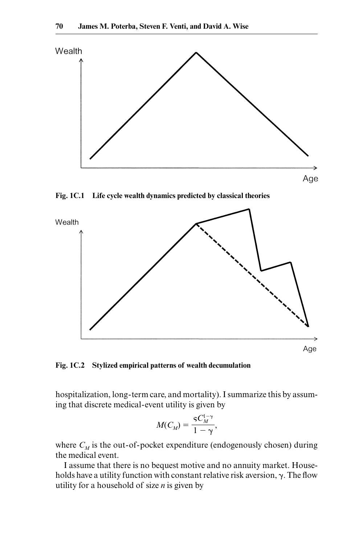

**Fig. 1C.1 Life cycle wealth dynamics predicted by classical theories**



**Fig. 1C.2 Stylized empirical patterns of wealth decumulation**

 hospitalization, long- term care, and mortality). I summarize this by assuming that discrete medical- event utility is given by

$$
M(C_M) = \frac{{}_{\mathsf{S}} C_M^{1-\gamma}}{1-\gamma},
$$

where  $C_M$  is the out-of-pocket expenditure (endogenously chosen) during the medical event.

I assume that there is no bequest motive and no annuity market. Households have a utility function with constant relative risk aversion,  $\gamma$ . The flow utility for a household of size *n* is given by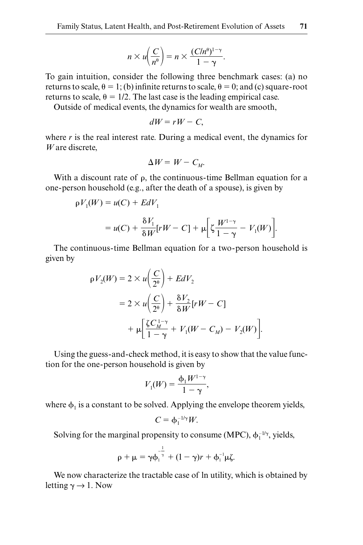$$
n \times u\left(\frac{C}{n^{\theta}}\right) = n \times \frac{(C/n^{\theta})^{1-\gamma}}{1-\gamma}.
$$

To gain intuition, consider the following three benchmark cases: (a) no returns to scale,  $\theta = 1$ ; (b) infinite returns to scale,  $\theta = 0$ ; and (c) square-root returns to scale,  $\theta = 1/2$ . The last case is the leading empirical case.

Outside of medical events, the dynamics for wealth are smooth,

$$
dW = rW - C,
$$

where *r* is the real interest rate. During a medical event, the dynamics for *W* are discrete,

$$
\Delta W = W - C_{M}.
$$

With a discount rate of  $\rho$ , the continuous-time Bellman equation for a one- person household (e.g., after the death of a spouse), is given by

$$
\rho V_1(W) = u(C) + EdV_1
$$
  
=  $u(C) + \frac{\delta V_1}{\delta W} [rW - C] + \mu \left[ \zeta \frac{W^{1-\gamma}}{1-\gamma} - V_1(W) \right].$ 

The continuous- time Bellman equation for a two- person household is given by

$$
\rho V_2(W) = 2 \times u \left(\frac{C}{2^{\theta}}\right) + EdV_2
$$
  
= 2 \times u \left(\frac{C}{2^{\theta}}\right) + \frac{\delta V\_2}{\delta W} [rW - C]  
+ 
$$
\mu \left[\frac{\zeta C_M^{1-\gamma}}{1-\gamma} + V_1(W - C_M) - V_2(W)\right].
$$

Using the guess- and- check method, it is easy to show that the value function for the one- person household is given by

$$
V_1(W) = \frac{\phi_1 W^{1-\gamma}}{1-\gamma},
$$

where  $\phi_1$  is a constant to be solved. Applying the envelope theorem yields,

$$
C=\varphi_1^{-1/\gamma}W.
$$

Solving for the marginal propensity to consume (MPC),  $\phi_1^{-1/\gamma}$ , yields,

$$
\rho + \mu = \gamma \varphi_1^{-\frac{1}{\gamma}} + (1 - \gamma)r + \varphi_1^{-1} \mu \zeta.
$$

We now characterize the tractable case of ln utility, which is obtained by letting  $\gamma \rightarrow 1$ . Now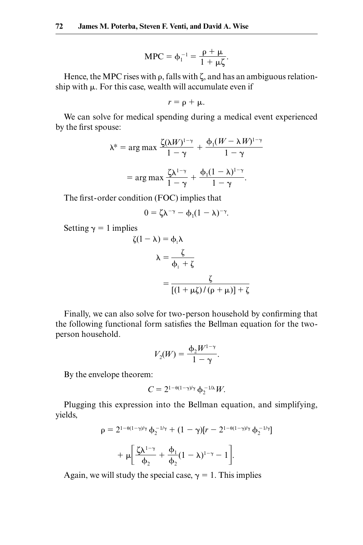$$
MPC = \phi_1^{-1} = \frac{\rho + \mu}{1 + \mu \zeta}.
$$

Hence, the MPC rises with  $\rho$ , falls with  $\zeta$ , and has an ambiguous relationship with  $\mu$ . For this case, wealth will accumulate even if

$$
r=\rho+\mu.
$$

We can solve for medical spending during a medical event experienced by the first spouse:

$$
\lambda^* = \arg \max \frac{\zeta(\lambda W)^{1-\gamma}}{1-\gamma} + \frac{\phi_1(W - \lambda W)^{1-\gamma}}{1-\gamma}
$$

$$
= \arg \max \frac{\zeta \lambda^{1-\gamma}}{1-\gamma} + \frac{\phi_1(1-\lambda)^{1-\gamma}}{1-\gamma}.
$$

The first-order condition (FOC) implies that

$$
0=\zeta\lambda^{-\gamma}-\varphi_1(1-\lambda)^{-\gamma}.
$$

Setting  $\gamma = 1$  implies

$$
\zeta(1 - \lambda) = \phi_1 \lambda
$$

$$
\lambda = \frac{\zeta}{\phi_1 + \zeta}
$$

$$
= \frac{\zeta}{[(1 + \mu \zeta)/(\rho + \mu)] + \zeta}
$$

Finally, we can also solve for two-person household by confirming that the following functional form satisfies the Bellman equation for the twoperson household.

person nousenola.  
\n
$$
V_2(W) = \frac{\Phi_2 W^{1-\gamma}}{1-\gamma}.
$$

By the envelope theorem:

$$
C=2^{1-\theta(1-\gamma)/\gamma}\,\Phi_2^{-1/\lambda}W.
$$

Plugging this expression into the Bellman equation, and simplifying, yields,

$$
\rho = 2^{1-\theta(1-\gamma)/\gamma} \Phi_2^{-1/\gamma} + (1-\gamma)[r - 2^{1-\theta(1-\gamma)/\gamma} \Phi_2^{-1/\gamma}]
$$

$$
+ \mu \left[ \frac{\zeta \lambda^{1-\gamma}}{\Phi_2} + \frac{\Phi_1}{\Phi_2} (1-\lambda)^{1-\gamma} - 1 \right].
$$

Again, we will study the special case,  $\gamma = 1$ . This implies